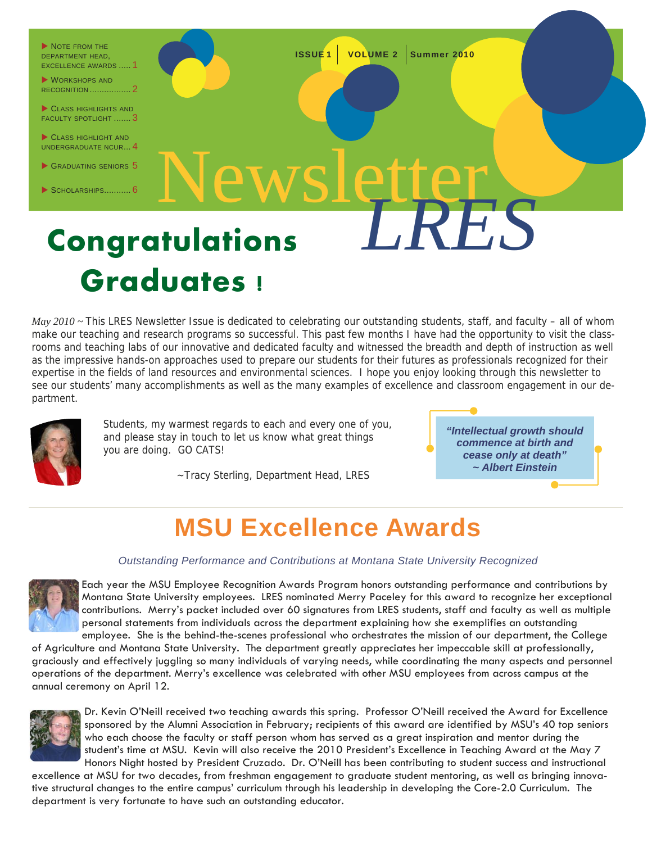**Congratulations Summer 2010**  NOTE FROM THE DEPARTMENT HEAD, **EXCELLENCE AWARDS.** CLASS HIGHLIGHTS AND FACULTY SPOTLIGHT ....... 3 CLASS HIGHLIGHT AND UNDERGRADUATE NCUR ... 4 GRADUATING SENIORS 5 SCHOLARSHIPS............ 6 WORKSHOPS AND RECOGNITION ........... Newsletter *LRES*  **ISSUE 1 VOLUME 2** 

# **Graduates !**

*May 2010 ~* This LRES Newsletter Issue is dedicated to celebrating our outstanding students, staff, and faculty – all of whom make our teaching and research programs so successful. This past few months I have had the opportunity to visit the classrooms and teaching labs of our innovative and dedicated faculty and witnessed the breadth and depth of instruction as well as the impressive hands-on approaches used to prepare our students for their futures as professionals recognized for their expertise in the fields of land resources and environmental sciences. I hope you enjoy looking through this newsletter to see our students' many accomplishments as well as the many examples of excellence and classroom engagement in our department.



 Students, my warmest regards to each and every one of you, and please stay in touch to let us know what great things you are doing. GO CATS!

~Tracy Sterling, Department Head, LRES

*"Intellectual growth should commence at birth and cease only at death" ~ Albert Einstein* 

## **MSU Excellence Awards**

#### *Outstanding Performance and Contributions at Montana State University Recognized*



Each year the MSU Employee Recognition Awards Program honors outstanding performance and contributions by Montana State University employees. LRES nominated Merry Paceley for this award to recognize her exceptional contributions. Merry's packet included over 60 signatures from LRES students, staff and faculty as well as multiple personal statements from individuals across the department explaining how she exemplifies an outstanding employee. She is the behind-the-scenes professional who orchestrates the mission of our department, the College

of Agriculture and Montana State University. The department greatly appreciates her impeccable skill at professionally, graciously and effectively juggling so many individuals of varying needs, while coordinating the many aspects and personnel operations of the department. Merry's excellence was celebrated with other MSU employees from across campus at the annual ceremony on April 12.



Dr. Kevin O'Neill received two teaching awards this spring. Professor O'Neill received the Award for Excellence sponsored by the Alumni Association in February; recipients of this award are identified by MSU's 40 top seniors who each choose the faculty or staff person whom has served as a great inspiration and mentor during the student's time at MSU. Kevin will also receive the 2010 President's Excellence in Teaching Award at the May 7 Honors Night hosted by President Cruzado. Dr. O'Neill has been contributing to student success and instructional

excellence at MSU for two decades, from freshman engagement to graduate student mentoring, as well as bringing innovative structural changes to the entire campus' curriculum through his leadership in developing the Core-2.0 Curriculum. The department is very fortunate to have such an outstanding educator.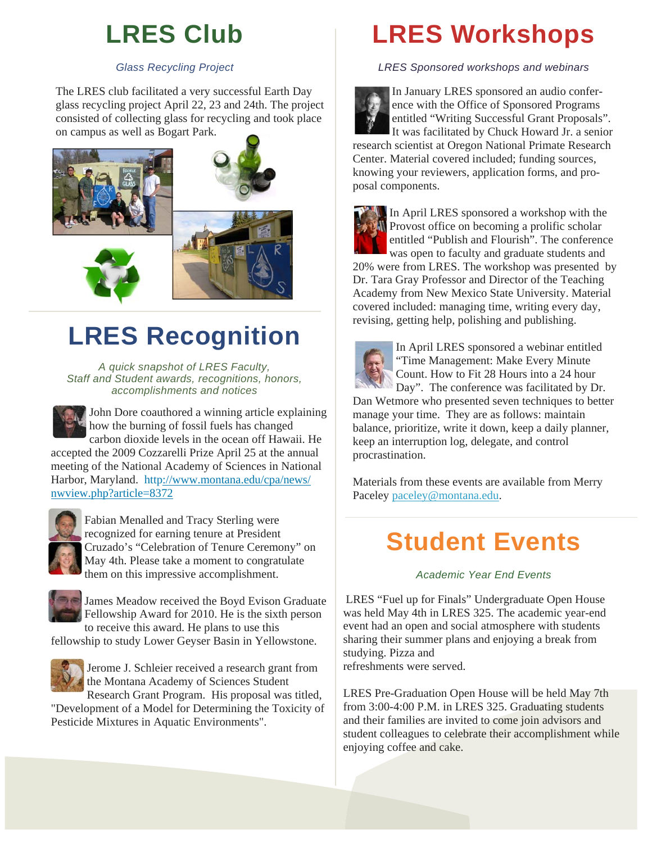## **LRES Club**

### *Glass Recycling Project*

The LRES club facilitated a very successful Earth Day glass recycling project April 22, 23 and 24th. The project consisted of collecting glass for recycling and took place on campus as well as Bogart Park.



## **LRES Recognition**

*A quick snapshot of LRES Faculty, Staff and Student awards, recognitions, honors, accomplishments and notices* 



John Dore coauthored a winning article explaining how the burning of fossil fuels has changed carbon dioxide levels in the ocean off Hawaii. He accepted the 2009 Cozzarelli Prize April 25 at the annual

meeting of the National Academy of Sciences in National Harbor, Maryland. http://www.montana.edu/cpa/news/ nwview.php?article=8372



Fabian Menalled and Tracy Sterling were recognized for earning tenure at President Cruzado's "Celebration of Tenure Ceremony" on May 4th. Please take a moment to congratulate them on this impressive accomplishment.



James Meadow received the Boyd Evison Graduate Fellowship Award for 2010. He is the sixth person to receive this award. He plans to use this

fellowship to study Lower Geyser Basin in Yellowstone.



Jerome J. Schleier received a research grant from the Montana Academy of Sciences Student

Research Grant Program. His proposal was titled, "Development of a Model for Determining the Toxicity of Pesticide Mixtures in Aquatic Environments".

## **LRES Workshops**

*LRES Sponsored workshops and webinars* 

In January LRES sponsored an audio conference with the Office of Sponsored Programs entitled "Writing Successful Grant Proposals". It was facilitated by Chuck Howard Jr. a senior research scientist at Oregon National Primate Research Center. Material covered included; funding sources, knowing your reviewers, application forms, and pro-



posal components.

In April LRES sponsored a workshop with the **Provost office on becoming a prolific scholar** entitled "Publish and Flourish". The conference

was open to faculty and graduate students and 20% were from LRES. The workshop was presented by Dr. Tara Gray Professor and Director of the Teaching Academy from New Mexico State University. Material covered included: managing time, writing every day, revising, getting help, polishing and publishing.



In April LRES sponsored a webinar entitled "Time Management: Make Every Minute Count. How to Fit 28 Hours into a 24 hour Day". The conference was facilitated by Dr.

Dan Wetmore who presented seven techniques to better manage your time. They are as follows: maintain balance, prioritize, write it down, keep a daily planner, keep an interruption log, delegate, and control procrastination.

Materials from these events are available from Merry Paceley paceley@montana.edu.

## **Student Events**

### *Academic Year End Events*

LRES "Fuel up for Finals" Undergraduate Open House was held May 4th in LRES 325. The academic year-end event had an open and social atmosphere with students sharing their summer plans and enjoying a break from studying. Pizza and refreshments were served.

LRES Pre-Graduation Open House will be held May 7th from 3:00-4:00 P.M. in LRES 325. Graduating students and their families are invited to come join advisors and student colleagues to celebrate their accomplishment while enjoying coffee and cake.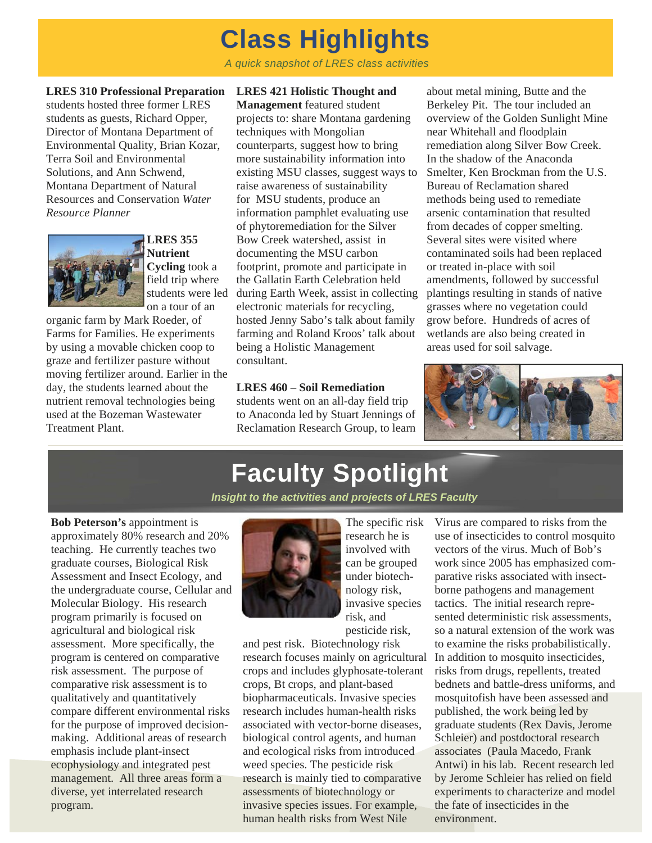## **Class Highlights**

*A quick snapshot of LRES class activities* 

**LRES 310 Professional Preparation**  students hosted three former LRES students as guests, Richard Opper, Director of Montana Department of Environmental Quality, Brian Kozar, Terra Soil and Environmental Solutions, and Ann Schwend, Montana Department of Natural Resources and Conservation *Water Resource Planner* 



**LRES 355 Nutrient Cycling** took a field trip where students were led on a tour of an

organic farm by Mark Roeder, of Farms for Families. He experiments by using a movable chicken coop to graze and fertilizer pasture without moving fertilizer around. Earlier in the day, the students learned about the nutrient removal technologies being used at the Bozeman Wastewater Treatment Plant.

#### **LRES 421 Holistic Thought and**

**Management** featured student projects to: share Montana gardening techniques with Mongolian counterparts, suggest how to bring more sustainability information into existing MSU classes, suggest ways to raise awareness of sustainability for MSU students, produce an information pamphlet evaluating use of phytoremediation for the Silver Bow Creek watershed, assist in documenting the MSU carbon footprint, promote and participate in the Gallatin Earth Celebration held during Earth Week, assist in collecting electronic materials for recycling, hosted Jenny Sabo's talk about family farming and Roland Kroos' talk about being a Holistic Management consultant.

#### **LRES 460** – **Soil Remediation**

students went on an all-day field trip to Anaconda led by Stuart Jennings of Reclamation Research Group, to learn

about metal mining, Butte and the Berkeley Pit. The tour included an overview of the Golden Sunlight Mine near Whitehall and floodplain remediation along Silver Bow Creek. In the shadow of the Anaconda Smelter, Ken Brockman from the U.S. Bureau of Reclamation shared methods being used to remediate arsenic contamination that resulted from decades of copper smelting. Several sites were visited where contaminated soils had been replaced or treated in-place with soil amendments, followed by successful plantings resulting in stands of native grasses where no vegetation could grow before. Hundreds of acres of wetlands are also being created in areas used for soil salvage.



## **Faculty Spotlight**

*Insight to the activities and projects of LRES Faculty* 

**Bob Peterson's** appointment is approximately 80% research and 20% teaching. He currently teaches two graduate courses, Biological Risk Assessment and Insect Ecology, and the undergraduate course, Cellular and Molecular Biology. His research program primarily is focused on agricultural and biological risk assessment. More specifically, the program is centered on comparative risk assessment. The purpose of comparative risk assessment is to qualitatively and quantitatively compare different environmental risks for the purpose of improved decisionmaking. Additional areas of research emphasis include plant-insect ecophysiology and integrated pest management. All three areas form a diverse, yet interrelated research program.



The specific risk research he is involved with can be grouped under biotechnology risk, invasive species risk, and pesticide risk,

and pest risk. Biotechnology risk research focuses mainly on agricultural crops and includes glyphosate-tolerant crops, Bt crops, and plant-based biopharmaceuticals. Invasive species research includes human-health risks associated with vector-borne diseases, biological control agents, and human and ecological risks from introduced weed species. The pesticide risk research is mainly tied to comparative assessments of biotechnology or invasive species issues. For example, human health risks from West Nile

Virus are compared to risks from the use of insecticides to control mosquito vectors of the virus. Much of Bob's work since 2005 has emphasized comparative risks associated with insectborne pathogens and management tactics. The initial research represented deterministic risk assessments, so a natural extension of the work was to examine the risks probabilistically. In addition to mosquito insecticides, risks from drugs, repellents, treated bednets and battle-dress uniforms, and mosquitofish have been assessed and published, the work being led by graduate students (Rex Davis, Jerome Schleier) and postdoctoral research associates (Paula Macedo, Frank Antwi) in his lab. Recent research led by Jerome Schleier has relied on field experiments to characterize and model the fate of insecticides in the environment.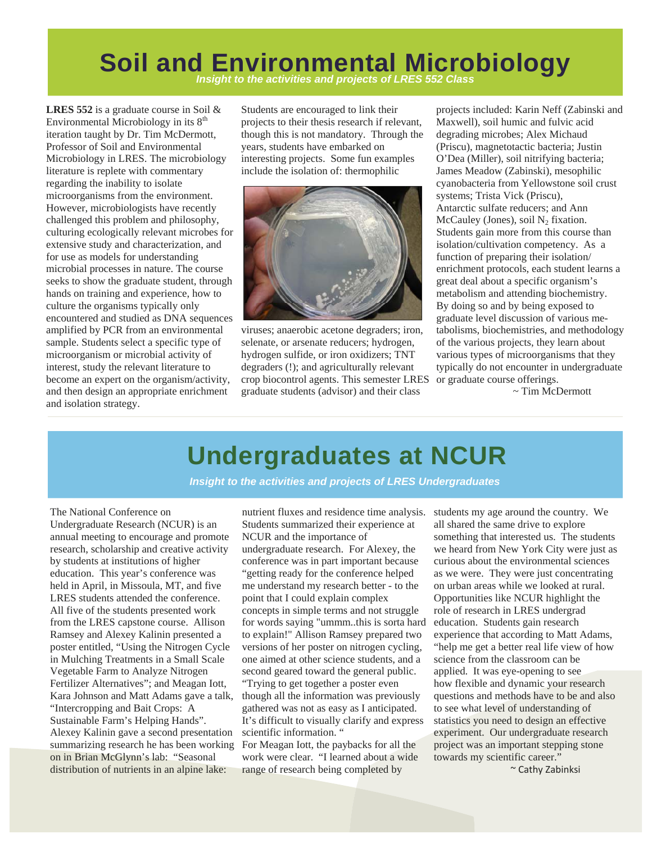## **Soil and Environmental Microbiology**

**LRES 552** is a graduate course in Soil & Environmental Microbiology in its 8<sup>th</sup> iteration taught by Dr. Tim McDermott, Professor of Soil and Environmental Microbiology in LRES. The microbiology literature is replete with commentary regarding the inability to isolate microorganisms from the environment. However, microbiologists have recently challenged this problem and philosophy, culturing ecologically relevant microbes for extensive study and characterization, and for use as models for understanding microbial processes in nature. The course seeks to show the graduate student, through hands on training and experience, how to culture the organisms typically only encountered and studied as DNA sequences amplified by PCR from an environmental sample. Students select a specific type of microorganism or microbial activity of interest, study the relevant literature to become an expert on the organism/activity, and then design an appropriate enrichment and isolation strategy.

Students are encouraged to link their projects to their thesis research if relevant, though this is not mandatory. Through the years, students have embarked on interesting projects. Some fun examples include the isolation of: thermophilic



viruses; anaerobic acetone degraders; iron, selenate, or arsenate reducers; hydrogen, hydrogen sulfide, or iron oxidizers; TNT degraders (!); and agriculturally relevant crop biocontrol agents. This semester LRES graduate students (advisor) and their class

projects included: Karin Neff (Zabinski and Maxwell), soil humic and fulvic acid degrading microbes; Alex Michaud (Priscu), magnetotactic bacteria; Justin O'Dea (Miller), soil nitrifying bacteria; James Meadow (Zabinski), mesophilic cyanobacteria from Yellowstone soil crust systems; Trista Vick (Priscu), Antarctic sulfate reducers; and Ann McCauley (Jones), soil  $N_2$  fixation. Students gain more from this course than isolation/cultivation competency. As a function of preparing their isolation/ enrichment protocols, each student learns a great deal about a specific organism's metabolism and attending biochemistry. By doing so and by being exposed to graduate level discussion of various metabolisms, biochemistries, and methodology of the various projects, they learn about various types of microorganisms that they typically do not encounter in undergraduate or graduate course offerings.

~ Tim McDermott

## **Undergraduates at NCUR**

*Insight to the activities and projects of LRES Undergraduates* 

The National Conference on Undergraduate Research (NCUR) is an annual meeting to encourage and promote research, scholarship and creative activity by students at institutions of higher education. This year's conference was held in April, in Missoula, MT, and five LRES students attended the conference. All five of the students presented work from the LRES capstone course. Allison Ramsey and Alexey Kalinin presented a poster entitled, "Using the Nitrogen Cycle in Mulching Treatments in a Small Scale Vegetable Farm to Analyze Nitrogen Fertilizer Alternatives"; and Meagan Iott, Kara Johnson and Matt Adams gave a talk, "Intercropping and Bait Crops: A Sustainable Farm's Helping Hands". Alexey Kalinin gave a second presentation summarizing research he has been working on in Brian McGlynn's lab: "Seasonal distribution of nutrients in an alpine lake:

nutrient fluxes and residence time analysis. Students summarized their experience at NCUR and the importance of undergraduate research. For Alexey, the conference was in part important because "getting ready for the conference helped me understand my research better - to the

point that I could explain complex concepts in simple terms and not struggle for words saying "ummm..this is sorta hard to explain!" Allison Ramsey prepared two versions of her poster on nitrogen cycling, one aimed at other science students, and a second geared toward the general public. "Trying to get together a poster even

though all the information was previously gathered was not as easy as I anticipated. It's difficult to visually clarify and express scientific information. "

For Meagan Iott, the paybacks for all the work were clear. "I learned about a wide range of research being completed by

students my age around the country. We all shared the same drive to explore something that interested us. The students we heard from New York City were just as curious about the environmental sciences as we were. They were just concentrating on urban areas while we looked at rural. Opportunities like NCUR highlight the role of research in LRES undergrad education. Students gain research experience that according to Matt Adams, "help me get a better real life view of how science from the classroom can be applied. It was eye-opening to see how flexible and dynamic your research questions and methods have to be and also to see what level of understanding of statistics you need to design an effective experiment. Our undergraduate research project was an important stepping stone towards my scientific career."

~ Cathy Zabinksi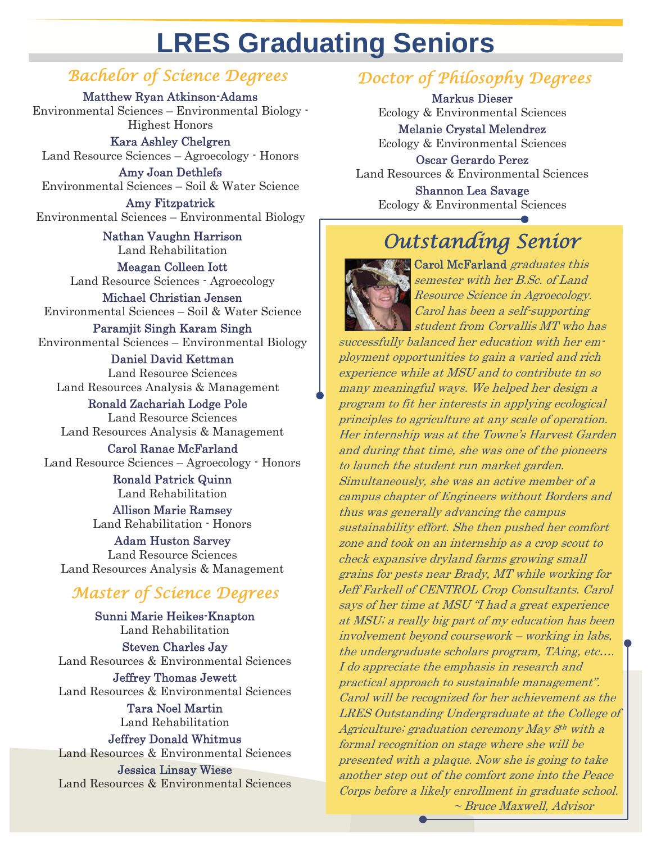## **LRES Graduating Seniors**

### *Bachelor of Science Degrees*

Matthew Ryan Atkinson-Adams Environmental Sciences – Environmental Biology - Highest Honors

Kara Ashley Chelgren Land Resource Sciences – Agroecology - Honors

Amy Joan Dethlefs Environmental Sciences – Soil & Water Science

Amy Fitzpatrick Environmental Sciences – Environmental Biology

> Nathan Vaughn Harrison Land Rehabilitation

Meagan Colleen Iott Land Resource Sciences - Agroecology

Michael Christian Jensen Environmental Sciences – Soil & Water Science

Paramjit Singh Karam Singh Environmental Sciences – Environmental Biology

Daniel David Kettman Land Resource Sciences Land Resources Analysis & Management

Ronald Zachariah Lodge Pole Land Resource Sciences Land Resources Analysis & Management

Carol Ranae McFarland Land Resource Sciences – Agroecology - Honors

Ronald Patrick Quinn Land Rehabilitation

Allison Marie Ramsey Land Rehabilitation - Honors

Adam Huston Sarvey Land Resource Sciences Land Resources Analysis & Management

### *Master of Science Degrees*

Sunni Marie Heikes-Knapton Land Rehabilitation Steven Charles Jay Land Resources & Environmental Sciences

Jeffrey Thomas Jewett Land Resources & Environmental Sciences

> Tara Noel Martin Land Rehabilitation

Jeffrey Donald Whitmus Land Resources & Environmental Sciences

Jessica Linsay Wiese Land Resources & Environmental Sciences

## *Doctor of Philosophy Degrees*

Markus Dieser

Ecology & Environmental Sciences

Melanie Crystal Melendrez Ecology & Environmental Sciences

Oscar Gerardo Perez Land Resources & Environmental Sciences

Shannon Lea Savage Ecology & Environmental Sciences

## *Outstanding Senior*



Carol McFarland graduates this semester with her B.Sc. of Land Resource Science in Agroecology. Carol has been a self-supporting student from Corvallis MT who has

successfully balanced her education with her employment opportunities to gain a varied and rich experience while at MSU and to contribute tn so many meaningful ways. We helped her design a program to fit her interests in applying ecological principles to agriculture at any scale of operation. Her internship was at the Towne's Harvest Garden and during that time, she was one of the pioneers to launch the student run market garden. Simultaneously, she was an active member of a campus chapter of Engineers without Borders and thus was generally advancing the campus sustainability effort. She then pushed her comfort zone and took on an internship as a crop scout to check expansive dryland farms growing small grains for pests near Brady, MT while working for Jeff Farkell of CENTROL Crop Consultants. Carol says of her time at MSU "I had a great experience at MSU; a really big part of my education has been involvement beyond coursework – working in labs, the undergraduate scholars program, TAing, etc…. I do appreciate the emphasis in research and practical approach to sustainable management". Carol will be recognized for her achievement as the LRES Outstanding Undergraduate at the College of Agriculture; graduation ceremony May 8th with a formal recognition on stage where she will be presented with a plaque. Now she is going to take another step out of the comfort zone into the Peace Corps before a likely enrollment in graduate school. ~ Bruce Maxwell, Advisor